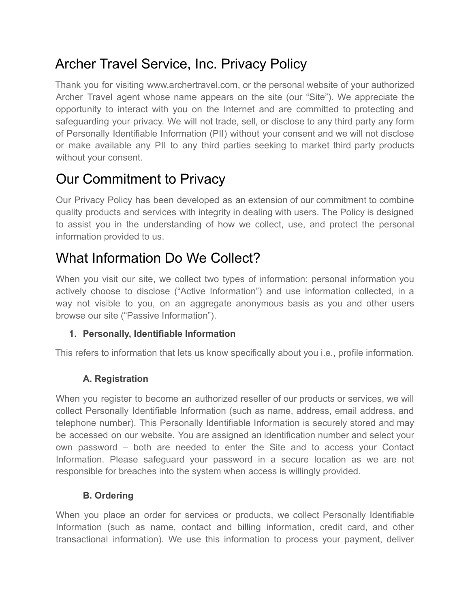# Archer Travel Service, Inc. Privacy Policy

Thank you for visiting www.archertravel.com, or the personal website of your authorized Archer Travel agent whose name appears on the site (our "Site"). We appreciate the opportunity to interact with you on the Internet and are committed to protecting and safeguarding your privacy. We will not trade, sell, or disclose to any third party any form of Personally Identifiable Information (PII) without your consent and we will not disclose or make available any PII to any third parties seeking to market third party products without your consent.

# Our Commitment to Privacy

Our Privacy Policy has been developed as an extension of our commitment to combine quality products and services with integrity in dealing with users. The Policy is designed to assist you in the understanding of how we collect, use, and protect the personal information provided to us.

# What Information Do We Collect?

When you visit our site, we collect two types of information: personal information you actively choose to disclose ("Active Information") and use information collected, in a way not visible to you, on an aggregate anonymous basis as you and other users browse our site ("Passive Information").

# **1. Personally, Identifiable Information**

This refers to information that lets us know specifically about you i.e., profile information.

# **A. Registration**

When you register to become an authorized reseller of our products or services, we will collect Personally Identifiable Information (such as name, address, email address, and telephone number). This Personally Identifiable Information is securely stored and may be accessed on our website. You are assigned an identification number and select your own password – both are needed to enter the Site and to access your Contact Information. Please safeguard your password in a secure location as we are not responsible for breaches into the system when access is willingly provided.

# **B. Ordering**

When you place an order for services or products, we collect Personally Identifiable Information (such as name, contact and billing information, credit card, and other transactional information). We use this information to process your payment, deliver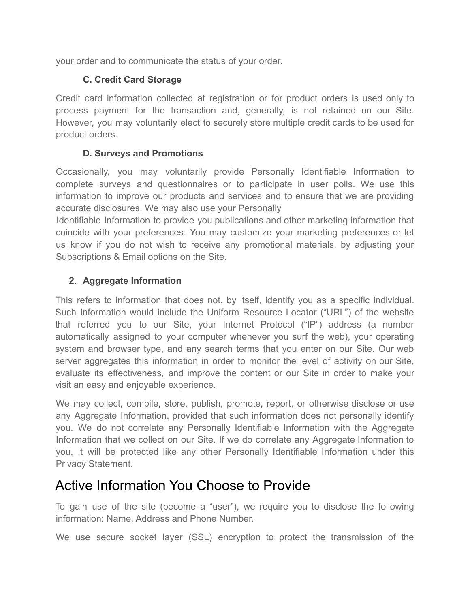your order and to communicate the status of your order.

## **C. Credit Card Storage**

Credit card information collected at registration or for product orders is used only to process payment for the transaction and, generally, is not retained on our Site. However, you may voluntarily elect to securely store multiple credit cards to be used for product orders.

### **D. Surveys and Promotions**

Occasionally, you may voluntarily provide Personally Identifiable Information to complete surveys and questionnaires or to participate in user polls. We use this information to improve our products and services and to ensure that we are providing accurate disclosures. We may also use your Personally

Identifiable Information to provide you publications and other marketing information that coincide with your preferences. You may customize your marketing preferences or let us know if you do not wish to receive any promotional materials, by adjusting your Subscriptions & Email options on the Site.

## **2. Aggregate Information**

This refers to information that does not, by itself, identify you as a specific individual. Such information would include the Uniform Resource Locator ("URL") of the website that referred you to our Site, your Internet Protocol ("IP") address (a number automatically assigned to your computer whenever you surf the web), your operating system and browser type, and any search terms that you enter on our Site. Our web server aggregates this information in order to monitor the level of activity on our Site, evaluate its effectiveness, and improve the content or our Site in order to make your visit an easy and enjoyable experience.

We may collect, compile, store, publish, promote, report, or otherwise disclose or use any Aggregate Information, provided that such information does not personally identify you. We do not correlate any Personally Identifiable Information with the Aggregate Information that we collect on our Site. If we do correlate any Aggregate Information to you, it will be protected like any other Personally Identifiable Information under this Privacy Statement.

# Active Information You Choose to Provide

To gain use of the site (become a "user"), we require you to disclose the following information: Name, Address and Phone Number.

We use secure socket layer (SSL) encryption to protect the transmission of the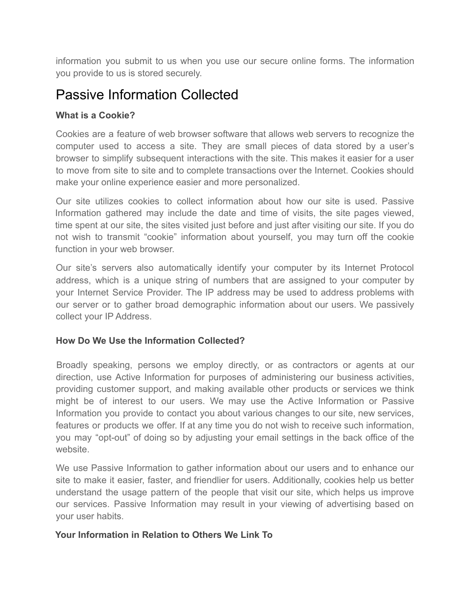information you submit to us when you use our secure online forms. The information you provide to us is stored securely.

# Passive Information Collected

## **What is a Cookie?**

Cookies are a feature of web browser software that allows web servers to recognize the computer used to access a site. They are small pieces of data stored by a user's browser to simplify subsequent interactions with the site. This makes it easier for a user to move from site to site and to complete transactions over the Internet. Cookies should make your online experience easier and more personalized.

Our site utilizes cookies to collect information about how our site is used. Passive Information gathered may include the date and time of visits, the site pages viewed, time spent at our site, the sites visited just before and just after visiting our site. If you do not wish to transmit "cookie" information about yourself, you may turn off the cookie function in your web browser.

Our site's servers also automatically identify your computer by its Internet Protocol address, which is a unique string of numbers that are assigned to your computer by your Internet Service Provider. The IP address may be used to address problems with our server or to gather broad demographic information about our users. We passively collect your IP Address.

### **How Do We Use the Information Collected?**

Broadly speaking, persons we employ directly, or as contractors or agents at our direction, use Active Information for purposes of administering our business activities, providing customer support, and making available other products or services we think might be of interest to our users. We may use the Active Information or Passive Information you provide to contact you about various changes to our site, new services, features or products we offer. If at any time you do not wish to receive such information, you may "opt-out" of doing so by adjusting your email settings in the back office of the website.

We use Passive Information to gather information about our users and to enhance our site to make it easier, faster, and friendlier for users. Additionally, cookies help us better understand the usage pattern of the people that visit our site, which helps us improve our services. Passive Information may result in your viewing of advertising based on your user habits.

#### **Your Information in Relation to Others We Link To**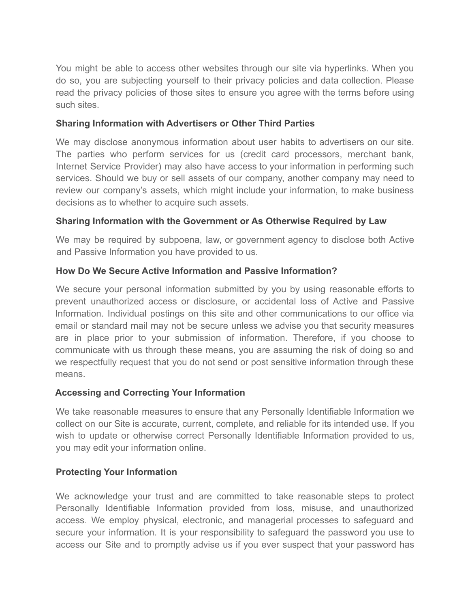You might be able to access other websites through our site via hyperlinks. When you do so, you are subjecting yourself to their privacy policies and data collection. Please read the privacy policies of those sites to ensure you agree with the terms before using such sites.

#### **Sharing Information with Advertisers or Other Third Parties**

We may disclose anonymous information about user habits to advertisers on our site. The parties who perform services for us (credit card processors, merchant bank, Internet Service Provider) may also have access to your information in performing such services. Should we buy or sell assets of our company, another company may need to review our company's assets, which might include your information, to make business decisions as to whether to acquire such assets.

#### **Sharing Information with the Government or As Otherwise Required by Law**

We may be required by subpoena, law, or government agency to disclose both Active and Passive Information you have provided to us.

#### **How Do We Secure Active Information and Passive Information?**

We secure your personal information submitted by you by using reasonable efforts to prevent unauthorized access or disclosure, or accidental loss of Active and Passive Information. Individual postings on this site and other communications to our office via email or standard mail may not be secure unless we advise you that security measures are in place prior to your submission of information. Therefore, if you choose to communicate with us through these means, you are assuming the risk of doing so and we respectfully request that you do not send or post sensitive information through these means.

#### **Accessing and Correcting Your Information**

We take reasonable measures to ensure that any Personally Identifiable Information we collect on our Site is accurate, current, complete, and reliable for its intended use. If you wish to update or otherwise correct Personally Identifiable Information provided to us, you may edit your information online.

### **Protecting Your Information**

We acknowledge your trust and are committed to take reasonable steps to protect Personally Identifiable Information provided from loss, misuse, and unauthorized access. We employ physical, electronic, and managerial processes to safeguard and secure your information. It is your responsibility to safeguard the password you use to access our Site and to promptly advise us if you ever suspect that your password has